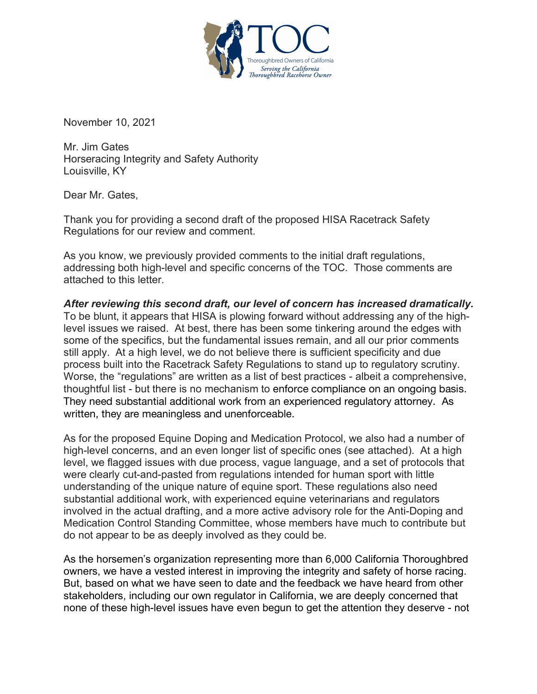

November 10, 2021

Mr. Jim Gates Horseracing Integrity and Safety Authority Louisville, KY

Dear Mr. Gates,

Thank you for providing a second draft of the proposed HISA Racetrack Safety Regulations for our review and comment.

As you know, we previously provided comments to the initial draft regulations, addressing both high-level and specific concerns of the TOC. Those comments are attached to this letter.

*After reviewing this second draft, our level of concern has increased dramatically.* To be blunt, it appears that HISA is plowing forward without addressing any of the highlevel issues we raised. At best, there has been some tinkering around the edges with some of the specifics, but the fundamental issues remain, and all our prior comments still apply. At a high level, we do not believe there is sufficient specificity and due process built into the Racetrack Safety Regulations to stand up to regulatory scrutiny. Worse, the "regulations" are written as a list of best practices - albeit a comprehensive, thoughtful list - but there is no mechanism to enforce compliance on an ongoing basis. They need substantial additional work from an experienced regulatory attorney. As written, they are meaningless and unenforceable.

As for the proposed Equine Doping and Medication Protocol, we also had a number of high-level concerns, and an even longer list of specific ones (see attached). At a high level, we flagged issues with due process, vague language, and a set of protocols that were clearly cut-and-pasted from regulations intended for human sport with little understanding of the unique nature of equine sport. These regulations also need substantial additional work, with experienced equine veterinarians and regulators involved in the actual drafting, and a more active advisory role for the Anti-Doping and Medication Control Standing Committee, whose members have much to contribute but do not appear to be as deeply involved as they could be.

As the horsemen's organization representing more than 6,000 California Thoroughbred owners, we have a vested interest in improving the integrity and safety of horse racing. But, based on what we have seen to date and the feedback we have heard from other stakeholders, including our own regulator in California, we are deeply concerned that none of these high-level issues have even begun to get the attention they deserve - not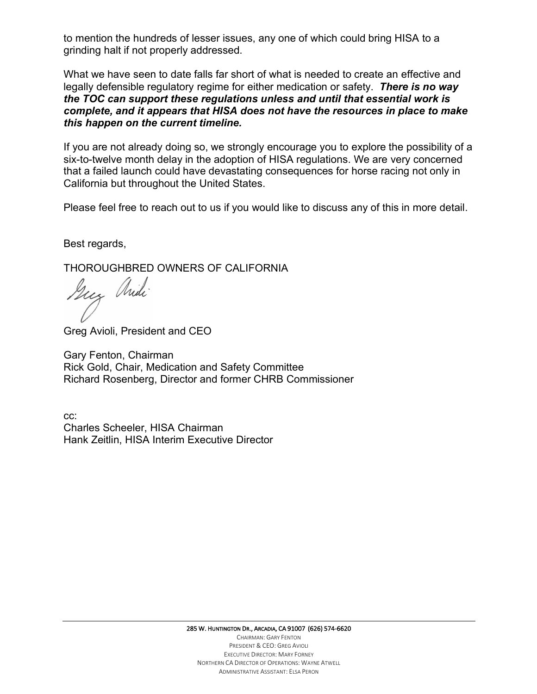to mention the hundreds of lesser issues, any one of which could bring HISA to a grinding halt if not properly addressed.

What we have seen to date falls far short of what is needed to create an effective and legally defensible regulatory regime for either medication or safety. *There is no way the TOC can support these regulations unless and until that essential work is complete, and it appears that HISA does not have the resources in place to make this happen on the current timeline.*

If you are not already doing so, we strongly encourage you to explore the possibility of a six-to-twelve month delay in the adoption of HISA regulations. We are very concerned that a failed launch could have devastating consequences for horse racing not only in California but throughout the United States.

Please feel free to reach out to us if you would like to discuss any of this in more detail.

Best regards,

THOROUGHBRED OWNERS OF CALIFORNIA

Guy Michi

Greg Avioli, President and CEO

Gary Fenton, Chairman Rick Gold, Chair, Medication and Safety Committee Richard Rosenberg, Director and former CHRB Commissioner

cc: Charles Scheeler, HISA Chairman Hank Zeitlin, HISA Interim Executive Director

> 285 W. HUNTINGTON DR., ARCADIA, CA 91007 (626) 574-6620 CHAIRMAN: GARY FENTON PRESIDENT & CEO: GREG AVIOLI EXECUTIVE DIRECTOR: MARY FORNEY NORTHERN CA DIRECTOR OF OPERATIONS: WAYNE ATWELL ADMINISTRATIVE ASSISTANT: ELSA PERON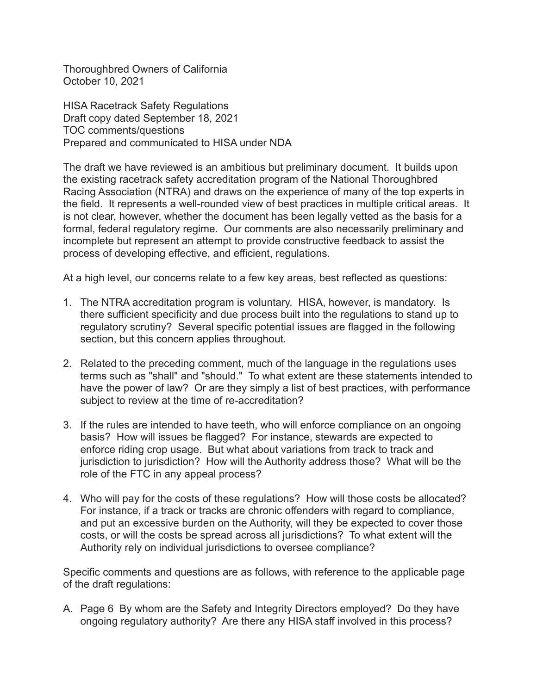Thoroughbred Owners of California October 10, 2021

HISA Racetrack Safety Regulations Draft copy dated September 18, 2021 TOC comments/questions Prepared and communicated to HISA under NDA

The draft we have reviewed is an ambitious but preliminary document. It builds upon the existing racetrack safety accreditation program of the National Thoroughbred Racing Association (NTRA) and draws on the experience of many of the top experts in the field. It represents a well-rounded view of best practices in multiple critical areas. It is not clear, however, whether the document has been legally vetted as the basis for a formal, federal regulatory regime. Our comments are also necessarily preliminary and incomplete but represent an attempt to provide constructive feedback to assist the process of developing effective, and efficient, regulations.

At a high level, our concerns relate to a few key areas, best reflected as questions:

- 1. The NTRA accreditation program is voluntary. HISA, however, is mandatory. Is there sufficient specificity and due process built into the regulations to stand up to regulatory scrutiny? Several specific potential issues are flagged in the following section, but this concern applies throughout.
- 2. Related to the preceding comment, much of the language in the regulations uses terms such as "shall" and "should." To what extent are these statements intended to have the power of law? Or are they simply a list of best practices, with performance subject to review at the time of re-accreditation?
- 3. If the rules are intended to have teeth, who will enforce compliance on an ongoing basis? How will issues be flagged? For instance, stewards are expected to enforce riding crop usage. But what about variations from track to track and jurisdiction to jurisdiction? How will the Authority address those? What will be the role of the FTC in any appeal process?
- 4. Who will pay for the costs of these regulations? How will those costs be allocated? For instance, if a track or tracks are chronic offenders with regard to compliance, and put an excessive burden on the Authority, will they be expected to cover those costs, or will the costs be spread across all jurisdictions? To what extent will the Authority rely on individual jurisdictions to oversee compliance?

Specific comments and questions are as follows, with reference to the applicable page of the draft regulations:

A. Page 6 By whom are the Safety and Integrity Directors employed? Do they have ongoing regulatory authority? Are there any HISA staff involved in this process?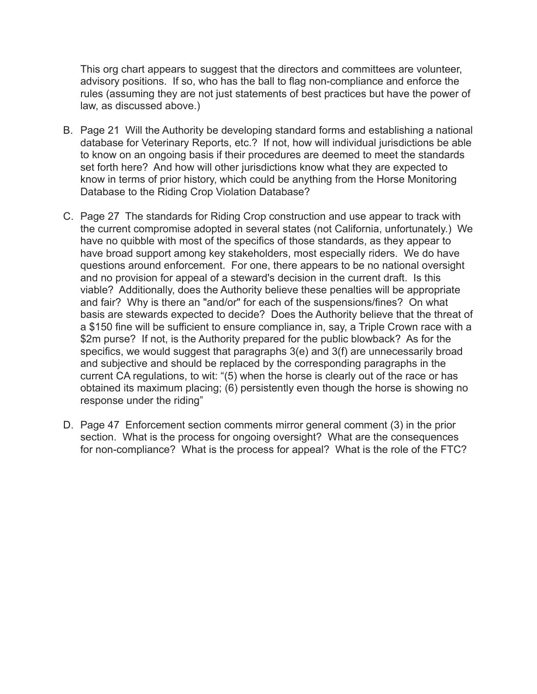This org chart appears to suggest that the directors and committees are volunteer, advisory positions. If so, who has the ball to flag non-compliance and enforce the rules (assuming they are not just statements of best practices but have the power of law, as discussed above.)

- B. Page 21 Will the Authority be developing standard forms and establishing a national database for Veterinary Reports, etc.? If not, how will individual jurisdictions be able to know on an ongoing basis if their procedures are deemed to meet the standards set forth here? And how will other jurisdictions know what they are expected to know in terms of prior history, which could be anything from the Horse Monitoring Database to the Riding Crop Violation Database?
- C. Page 27 The standards for Riding Crop construction and use appear to track with the current compromise adopted in several states (not California, unfortunately.) We have no quibble with most of the specifics of those standards, as they appear to have broad support among key stakeholders, most especially riders. We do have questions around enforcement. For one, there appears to be no national oversight and no provision for appeal of a steward's decision in the current draft. Is this viable? Additionally, does the Authority believe these penalties will be appropriate and fair? Why is there an "and/or" for each of the suspensions/fines? On what basis are stewards expected to decide? Does the Authority believe that the threat of a \$150 fine will be sufficient to ensure compliance in, say, a Triple Crown race with a \$2m purse? If not, is the Authority prepared for the public blowback? As for the specifics, we would suggest that paragraphs 3(e) and 3(f) are unnecessarily broad and subjective and should be replaced by the corresponding paragraphs in the current CA regulations, to wit: "(5) when the horse is clearly out of the race or has obtained its maximum placing; (6) persistently even though the horse is showing no response under the riding"
- D. Page 47 Enforcement section comments mirror general comment (3) in the prior section. What is the process for ongoing oversight? What are the consequences for non-compliance? What is the process for appeal? What is the role of the FTC?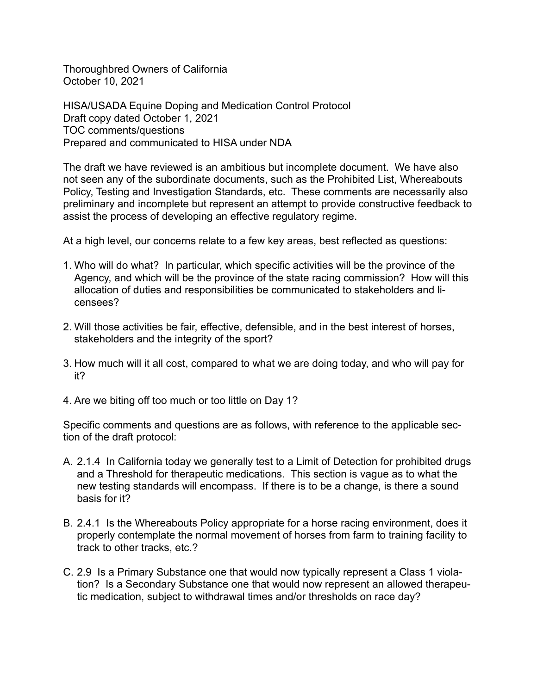Thoroughbred Owners of California October 10, 2021

HISA/USADA Equine Doping and Medication Control Protocol Draft copy dated October 1, 2021 TOC comments/questions Prepared and communicated to HISA under NDA

The draft we have reviewed is an ambitious but incomplete document. We have also not seen any of the subordinate documents, such as the Prohibited List, Whereabouts Policy, Testing and Investigation Standards, etc. These comments are necessarily also preliminary and incomplete but represent an attempt to provide constructive feedback to assist the process of developing an effective regulatory regime.

At a high level, our concerns relate to a few key areas, best reflected as questions:

- 1. Who will do what? In particular, which specific activities will be the province of the Agency, and which will be the province of the state racing commission? How will this allocation of duties and responsibilities be communicated to stakeholders and licensees?
- 2. Will those activities be fair, effective, defensible, and in the best interest of horses, stakeholders and the integrity of the sport?
- 3. How much will it all cost, compared to what we are doing today, and who will pay for it?
- 4. Are we biting off too much or too little on Day 1?

Specific comments and questions are as follows, with reference to the applicable section of the draft protocol:

- A. 2.1.4 In California today we generally test to a Limit of Detection for prohibited drugs and a Threshold for therapeutic medications. This section is vague as to what the new testing standards will encompass. If there is to be a change, is there a sound basis for it?
- B. 2.4.1 Is the Whereabouts Policy appropriate for a horse racing environment, does it properly contemplate the normal movement of horses from farm to training facility to track to other tracks, etc.?
- C. 2.9 Is a Primary Substance one that would now typically represent a Class 1 violation? Is a Secondary Substance one that would now represent an allowed therapeutic medication, subject to withdrawal times and/or thresholds on race day?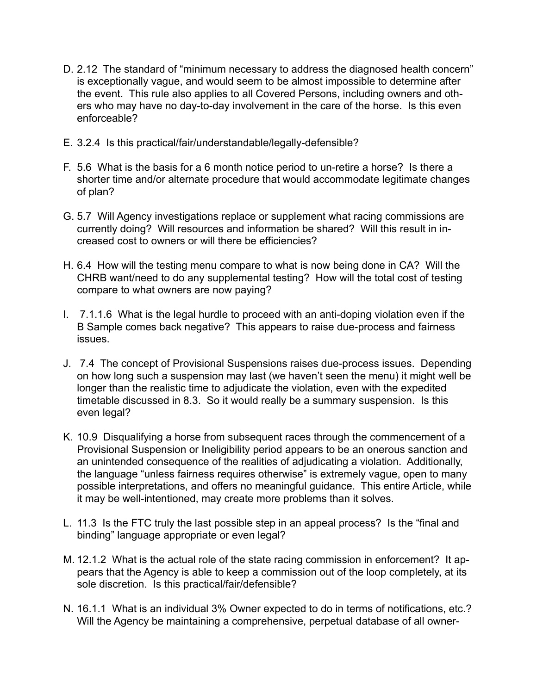- D. 2.12 The standard of "minimum necessary to address the diagnosed health concern" is exceptionally vague, and would seem to be almost impossible to determine after the event. This rule also applies to all Covered Persons, including owners and others who may have no day-to-day involvement in the care of the horse. Is this even enforceable?
- E. 3.2.4 Is this practical/fair/understandable/legally-defensible?
- F. 5.6 What is the basis for a 6 month notice period to un-retire a horse? Is there a shorter time and/or alternate procedure that would accommodate legitimate changes of plan?
- G. 5.7 Will Agency investigations replace or supplement what racing commissions are currently doing? Will resources and information be shared? Will this result in increased cost to owners or will there be efficiencies?
- H. 6.4 How will the testing menu compare to what is now being done in CA? Will the CHRB want/need to do any supplemental testing? How will the total cost of testing compare to what owners are now paying?
- I. 7.1.1.6 What is the legal hurdle to proceed with an anti-doping violation even if the B Sample comes back negative? This appears to raise due-process and fairness issues.
- J. 7.4 The concept of Provisional Suspensions raises due-process issues. Depending on how long such a suspension may last (we haven't seen the menu) it might well be longer than the realistic time to adjudicate the violation, even with the expedited timetable discussed in 8.3. So it would really be a summary suspension. Is this even legal?
- K. 10.9 Disqualifying a horse from subsequent races through the commencement of a Provisional Suspension or Ineligibility period appears to be an onerous sanction and an unintended consequence of the realities of adjudicating a violation. Additionally, the language "unless fairness requires otherwise" is extremely vague, open to many possible interpretations, and offers no meaningful guidance. This entire Article, while it may be well-intentioned, may create more problems than it solves.
- L. 11.3 Is the FTC truly the last possible step in an appeal process? Is the "final and binding" language appropriate or even legal?
- M. 12.1.2 What is the actual role of the state racing commission in enforcement? It appears that the Agency is able to keep a commission out of the loop completely, at its sole discretion. Is this practical/fair/defensible?
- N. 16.1.1 What is an individual 3% Owner expected to do in terms of notifications, etc.? Will the Agency be maintaining a comprehensive, perpetual database of all owner-